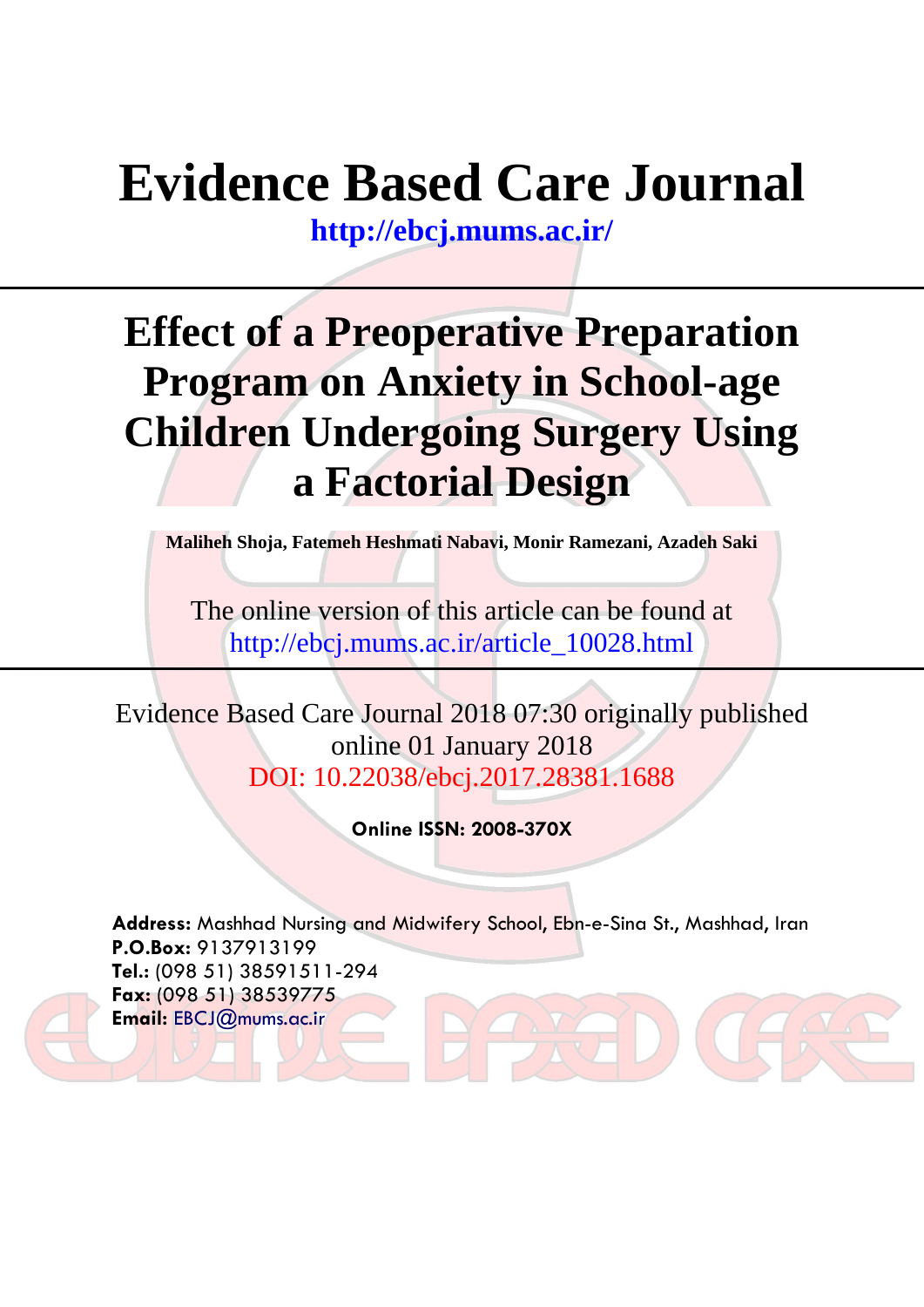# **Evidence Based Care Journal**

**<http://ebcj.mums.ac.ir/>**

## **Effect of a Preoperative Preparation Program on Anxiety in School-age Children Undergoing Surgery Using a Factorial Design**

**Maliheh Shoja, Fatemeh Heshmati Nabavi, Monir Ramezani, Azadeh Saki**

The online version of this article can be found at http://ebcj.mums.ac.ir/article\_10028.html

Evidence Based Care Journal 2018 07:30 originally published online 01 January 2018 DOI: 10.22038/ebcj.2017.28381.1688

**Online ISSN: 2008-370X**

**Address:** Mashhad Nursing and Midwifery School, Ebn-e-Sina St., Mashhad, Iran **P.O.Box:** 9137913199 **Tel.:** (098 51) 38591511-294 **Fax:** (098 51) 38539775 **Email:** [EBCJ@mums.ac.ir](mailto:EBCJ@mums.ac.ir)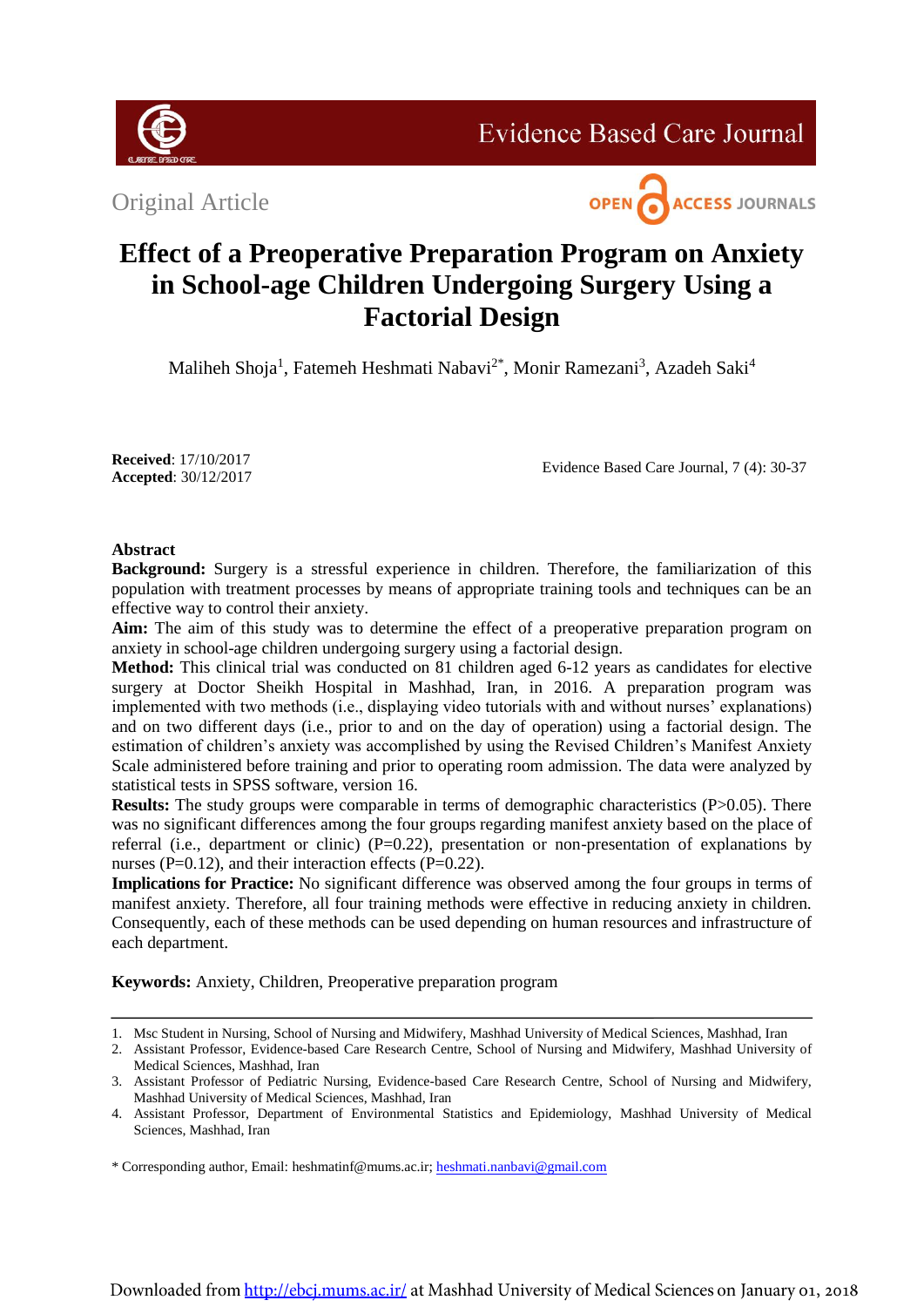

**Evidence Based Care Journal** 

Original Article



### **Effect of a Preoperative Preparation Program on Anxiety in School-age Children Undergoing Surgery Using a Factorial Design**

Maliheh Shoja<sup>1</sup>, Fatemeh Heshmati Nabavi<sup>2\*</sup>, Monir Ramezani<sup>3</sup>, Azadeh Saki<sup>4</sup>

**Received**: 17/10/2017 **Accepted**: 30/12/2017

Evidence Based Care Journal, 7 (4): 30-37

#### **Abstract**

**Background:** Surgery is a stressful experience in children. Therefore, the familiarization of this population with treatment processes by means of appropriate training tools and techniques can be an effective way to control their anxiety.

**Aim:** The aim of this study was to determine the effect of a preoperative preparation program on anxiety in school-age children undergoing surgery using a factorial design.

Method: This clinical trial was conducted on 81 children aged 6-12 years as candidates for elective surgery at Doctor Sheikh Hospital in Mashhad, Iran, in 2016. A preparation program was implemented with two methods (i.e., displaying video tutorials with and without nurses' explanations) and on two different days (i.e., prior to and on the day of operation) using a factorial design. The estimation of children's anxiety was accomplished by using the Revised Children's Manifest Anxiety Scale administered before training and prior to operating room admission. The data were analyzed by statistical tests in SPSS software, version 16.

**Results:** The study groups were comparable in terms of demographic characteristics (P>0.05). There was no significant differences among the four groups regarding manifest anxiety based on the place of referral (i.e., department or clinic)  $(P=0.22)$ , presentation or non-presentation of explanations by nurses ( $P=0.12$ ), and their interaction effects ( $P=0.22$ ).

**Implications for Practice:** No significant difference was observed among the four groups in terms of manifest anxiety. Therefore, all four training methods were effective in reducing anxiety in children. Consequently, each of these methods can be used depending on human resources and infrastructure of each department.

**Keywords:** Anxiety, Children, Preoperative preparation program

\* Corresponding author, Email: heshmatinf@mums.ac.ir; [heshmati.nanbavi@gmail.com](mailto:heshmati.nanbavi@gmail.com)

<sup>1.</sup> Msc Student in Nursing, School of Nursing and Midwifery, Mashhad University of Medical Sciences, Mashhad, Iran

<sup>2.</sup> Assistant Professor, Evidence-based Care Research Centre, School of Nursing and Midwifery, Mashhad University of Medical Sciences, Mashhad, Iran

<sup>3.</sup> Assistant Professor of Pediatric Nursing, Evidence-based Care Research Centre, School of Nursing and Midwifery, Mashhad University of Medical Sciences, Mashhad, Iran

<sup>4.</sup> Assistant Professor, Department of Environmental Statistics and Epidemiology, Mashhad University of Medical Sciences, Mashhad, Iran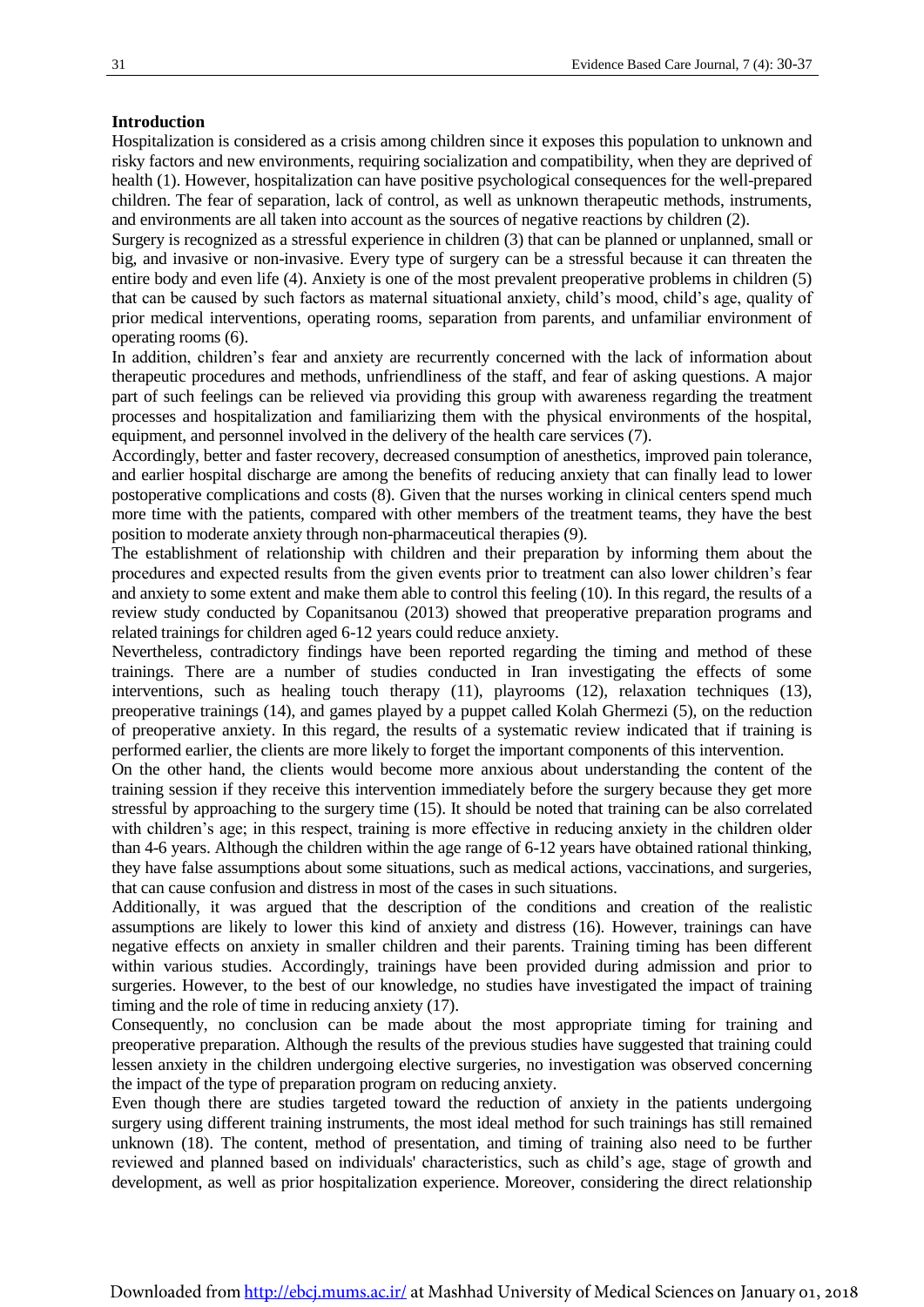#### **Introduction**

Hospitalization is considered as a crisis among children since it exposes this population to unknown and risky factors and new environments, requiring socialization and compatibility, when they are deprived of health (1). However, hospitalization can have positive psychological consequences for the well-prepared children. The fear of separation, lack of control, as well as unknown therapeutic methods, instruments, and environments are all taken into account as the sources of negative reactions by children (2).

Surgery is recognized as a stressful experience in children (3) that can be planned or unplanned, small or big, and invasive or non-invasive. Every type of surgery can be a stressful because it can threaten the entire body and even life (4). Anxiety is one of the most prevalent preoperative problems in children (5) that can be caused by such factors as maternal situational anxiety, child's mood, child's age, quality of prior medical interventions, operating rooms, separation from parents, and unfamiliar environment of operating rooms (6).

In addition, children's fear and anxiety are recurrently concerned with the lack of information about therapeutic procedures and methods, unfriendliness of the staff, and fear of asking questions. A major part of such feelings can be relieved via providing this group with awareness regarding the treatment processes and hospitalization and familiarizing them with the physical environments of the hospital, equipment, and personnel involved in the delivery of the health care services (7).

Accordingly, better and faster recovery, decreased consumption of anesthetics, improved pain tolerance, and earlier hospital discharge are among the benefits of reducing anxiety that can finally lead to lower postoperative complications and costs (8). Given that the nurses working in clinical centers spend much more time with the patients, compared with other members of the treatment teams, they have the best position to moderate anxiety through non-pharmaceutical therapies (9).

The establishment of relationship with children and their preparation by informing them about the procedures and expected results from the given events prior to treatment can also lower children's fear and anxiety to some extent and make them able to control this feeling (10). In this regard, the results of a review study conducted by Copanitsanou (2013) showed that preoperative preparation programs and related trainings for children aged 6-12 years could reduce anxiety.

Nevertheless, contradictory findings have been reported regarding the timing and method of these trainings. There are a number of studies conducted in Iran investigating the effects of some interventions, such as healing touch therapy (11), playrooms (12), relaxation techniques (13), preoperative trainings (14), and games played by a puppet called Kolah Ghermezi (5), on the reduction of preoperative anxiety. In this regard, the results of a systematic review indicated that if training is performed earlier, the clients are more likely to forget the important components of this intervention.

On the other hand, the clients would become more anxious about understanding the content of the training session if they receive this intervention immediately before the surgery because they get more stressful by approaching to the surgery time (15). It should be noted that training can be also correlated with children's age; in this respect, training is more effective in reducing anxiety in the children older than 4-6 years. Although the children within the age range of 6-12 years have obtained rational thinking, they have false assumptions about some situations, such as medical actions, vaccinations, and surgeries, that can cause confusion and distress in most of the cases in such situations.

Additionally, it was argued that the description of the conditions and creation of the realistic assumptions are likely to lower this kind of anxiety and distress (16). However, trainings can have negative effects on anxiety in smaller children and their parents. Training timing has been different within various studies. Accordingly, trainings have been provided during admission and prior to surgeries. However, to the best of our knowledge, no studies have investigated the impact of training timing and the role of time in reducing anxiety (17).

Consequently, no conclusion can be made about the most appropriate timing for training and preoperative preparation. Although the results of the previous studies have suggested that training could lessen anxiety in the children undergoing elective surgeries, no investigation was observed concerning the impact of the type of preparation program on reducing anxiety.

Even though there are studies targeted toward the reduction of anxiety in the patients undergoing surgery using different training instruments, the most ideal method for such trainings has still remained unknown (18). The content, method of presentation, and timing of training also need to be further reviewed and planned based on individuals' characteristics, such as child's age, stage of growth and development, as well as prior hospitalization experience. Moreover, considering the direct relationship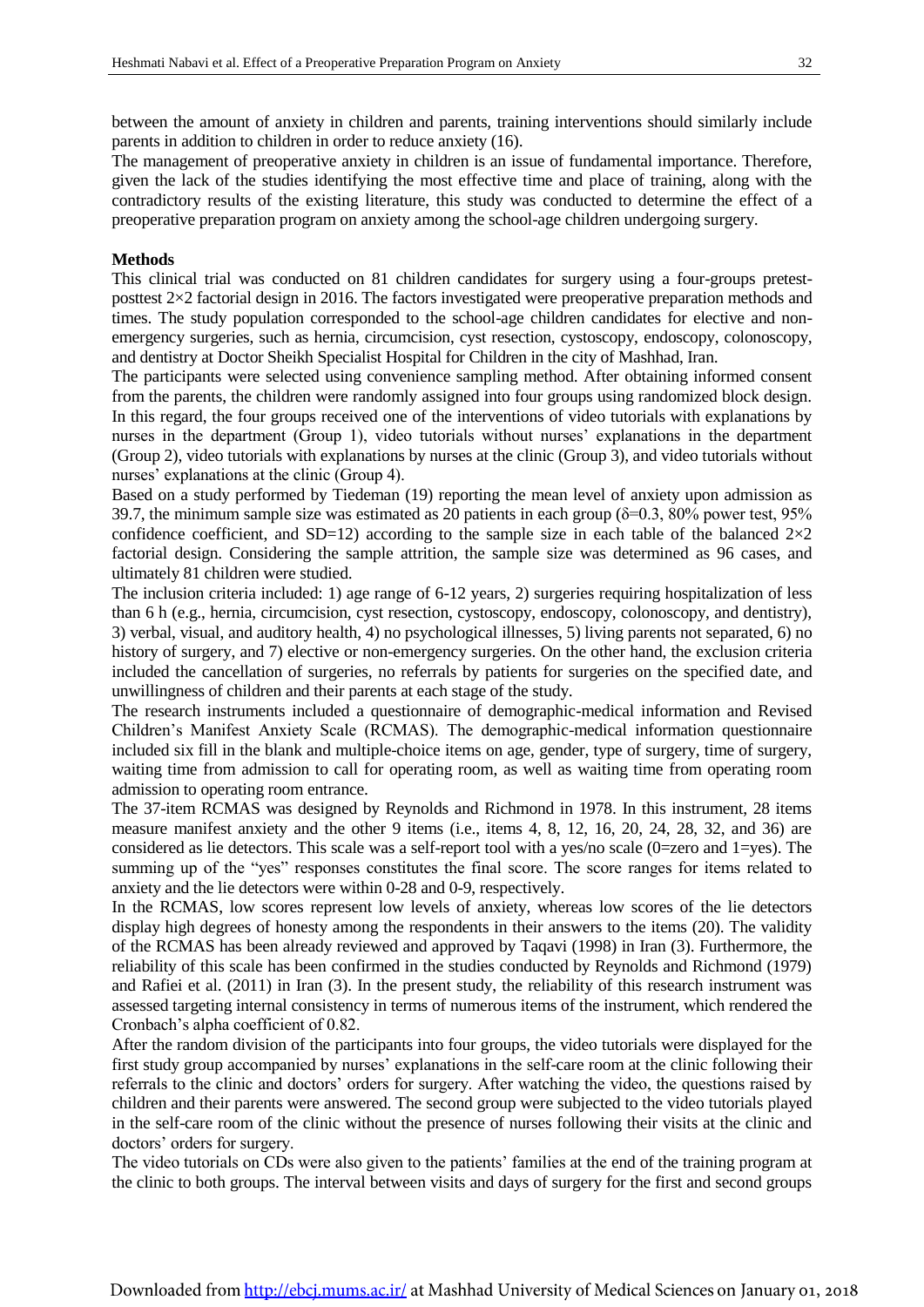between the amount of anxiety in children and parents, training interventions should similarly include parents in addition to children in order to reduce anxiety (16).

The management of preoperative anxiety in children is an issue of fundamental importance. Therefore, given the lack of the studies identifying the most effective time and place of training, along with the contradictory results of the existing literature, this study was conducted to determine the effect of a preoperative preparation program on anxiety among the school-age children undergoing surgery.

#### **Methods**

This clinical trial was conducted on 81 children candidates for surgery using a four-groups pretestposttest 2×2 factorial design in 2016. The factors investigated were preoperative preparation methods and times. The study population corresponded to the school-age children candidates for elective and nonemergency surgeries, such as hernia, circumcision, cyst resection, cystoscopy, endoscopy, colonoscopy, and dentistry at Doctor Sheikh Specialist Hospital for Children in the city of Mashhad, Iran.

The participants were selected using convenience sampling method. After obtaining informed consent from the parents, the children were randomly assigned into four groups using randomized block design. In this regard, the four groups received one of the interventions of video tutorials with explanations by nurses in the department (Group 1), video tutorials without nurses' explanations in the department (Group 2), video tutorials with explanations by nurses at the clinic (Group 3), and video tutorials without nurses' explanations at the clinic (Group 4).

Based on a study performed by Tiedeman (19) reporting the mean level of anxiety upon admission as 39.7, the minimum sample size was estimated as 20 patients in each group  $(\delta = 0.3, 80\%$  power test, 95% confidence coefficient, and SD=12) according to the sample size in each table of the balanced  $2\times2$ factorial design. Considering the sample attrition, the sample size was determined as 96 cases, and ultimately 81 children were studied.

The inclusion criteria included: 1) age range of 6-12 years, 2) surgeries requiring hospitalization of less than 6 h (e.g., hernia, circumcision, cyst resection, cystoscopy, endoscopy, colonoscopy, and dentistry), 3) verbal, visual, and auditory health, 4) no psychological illnesses, 5) living parents not separated, 6) no history of surgery, and 7) elective or non-emergency surgeries. On the other hand, the exclusion criteria included the cancellation of surgeries, no referrals by patients for surgeries on the specified date, and unwillingness of children and their parents at each stage of the study.

The research instruments included a questionnaire of demographic-medical information and Revised Children's Manifest Anxiety Scale (RCMAS). The demographic-medical information questionnaire included six fill in the blank and multiple-choice items on age, gender, type of surgery, time of surgery, waiting time from admission to call for operating room, as well as waiting time from operating room admission to operating room entrance.

The 37-item RCMAS was designed by Reynolds and Richmond in 1978. In this instrument, 28 items measure manifest anxiety and the other 9 items (i.e., items 4, 8, 12, 16, 20, 24, 28, 32, and 36) are considered as lie detectors. This scale was a self-report tool with a yes/no scale (0=zero and 1=yes). The summing up of the "yes" responses constitutes the final score. The score ranges for items related to anxiety and the lie detectors were within 0-28 and 0-9, respectively.

In the RCMAS, low scores represent low levels of anxiety, whereas low scores of the lie detectors display high degrees of honesty among the respondents in their answers to the items (20). The validity of the RCMAS has been already reviewed and approved by Taqavi (1998) in Iran (3). Furthermore, the reliability of this scale has been confirmed in the studies conducted by Reynolds and Richmond (1979) and Rafiei et al. (2011) in Iran (3). In the present study, the reliability of this research instrument was assessed targeting internal consistency in terms of numerous items of the instrument, which rendered the Cronbach's alpha coefficient of 0.82.

After the random division of the participants into four groups, the video tutorials were displayed for the first study group accompanied by nurses' explanations in the self-care room at the clinic following their referrals to the clinic and doctors' orders for surgery. After watching the video, the questions raised by children and their parents were answered. The second group were subjected to the video tutorials played in the self-care room of the clinic without the presence of nurses following their visits at the clinic and doctors' orders for surgery.

The video tutorials on CDs were also given to the patients' families at the end of the training program at the clinic to both groups. The interval between visits and days of surgery for the first and second groups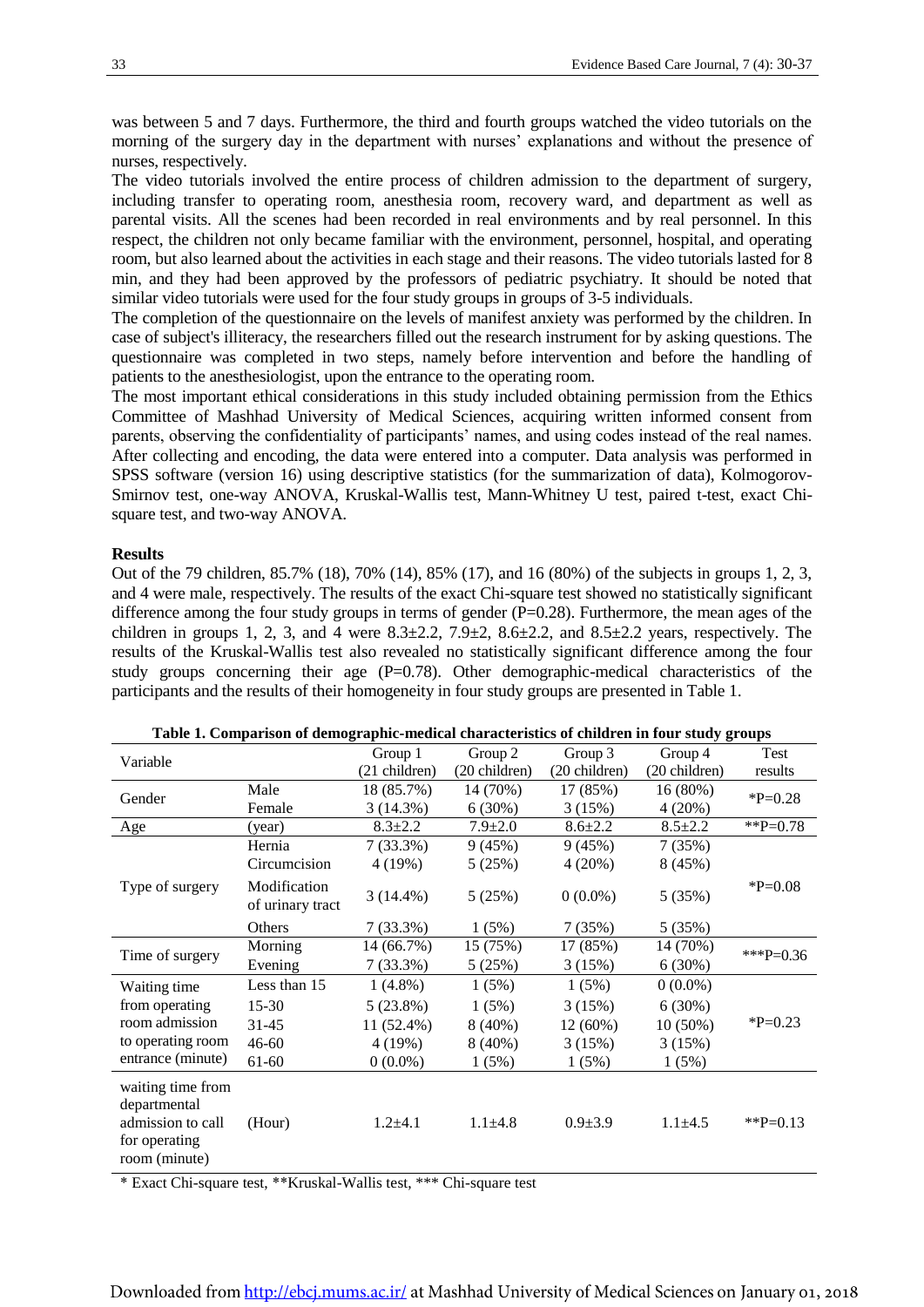was between 5 and 7 days. Furthermore, the third and fourth groups watched the video tutorials on the morning of the surgery day in the department with nurses' explanations and without the presence of nurses, respectively.

The video tutorials involved the entire process of children admission to the department of surgery, including transfer to operating room, anesthesia room, recovery ward, and department as well as parental visits. All the scenes had been recorded in real environments and by real personnel. In this respect, the children not only became familiar with the environment, personnel, hospital, and operating room, but also learned about the activities in each stage and their reasons. The video tutorials lasted for 8 min, and they had been approved by the professors of pediatric psychiatry. It should be noted that similar video tutorials were used for the four study groups in groups of 3-5 individuals.

The completion of the questionnaire on the levels of manifest anxiety was performed by the children. In case of subject's illiteracy, the researchers filled out the research instrument for by asking questions. The questionnaire was completed in two steps, namely before intervention and before the handling of patients to the anesthesiologist, upon the entrance to the operating room.

The most important ethical considerations in this study included obtaining permission from the Ethics Committee of Mashhad University of Medical Sciences, acquiring written informed consent from parents, observing the confidentiality of participants' names, and using codes instead of the real names. After collecting and encoding, the data were entered into a computer. Data analysis was performed in SPSS software (version 16) using descriptive statistics (for the summarization of data), Kolmogorov-Smirnov test, one-way ANOVA, Kruskal-Wallis test, Mann-Whitney U test, paired t-test, exact Chisquare test, and two-way ANOVA.

#### **Results**

Out of the 79 children, 85.7% (18), 70% (14), 85% (17), and 16 (80%) of the subjects in groups 1, 2, 3, and 4 were male, respectively. The results of the exact Chi-square test showed no statistically significant difference among the four study groups in terms of gender  $(P=0.28)$ . Furthermore, the mean ages of the children in groups 1, 2, 3, and 4 were  $8.3\pm 2.2$ ,  $7.9\pm 2$ ,  $8.6\pm 2.2$ , and  $8.5\pm 2.2$  years, respectively. The results of the Kruskal-Wallis test also revealed no statistically significant difference among the four study groups concerning their age  $(P=0.78)$ . Other demographic-medical characteristics of the participants and the results of their homogeneity in four study groups are presented in Table 1.

| Variable                                                                                 |                                  | Group 1       | Group 2       | Group 3       | Group 4       | Test         |  |
|------------------------------------------------------------------------------------------|----------------------------------|---------------|---------------|---------------|---------------|--------------|--|
|                                                                                          |                                  | (21 children) | (20 children) | (20 children) | (20 children) | results      |  |
| Gender                                                                                   | Male                             | 18 (85.7%)    | 14 (70%)      | 17 (85%)      | 16(80%)       | $*P=0.28$    |  |
|                                                                                          | Female                           | 3(14.3%)      | $6(30\%)$     | 3(15%)        | 4(20%)        |              |  |
| $\underline{Age}$                                                                        | (year)                           | $8.3 \pm 2.2$ | $7.9 \pm 2.0$ | $8.6 \pm 2.2$ | $8.5 \pm 2.2$ | $*$ $P=0.78$ |  |
| Type of surgery                                                                          | Hernia                           | $7(33.3\%)$   | 9(45%)        | 9(45%)        | 7(35%)        |              |  |
|                                                                                          | Circumcision                     | 4 (19%)       | 5(25%)        | 4(20%)        | 8(45%)        |              |  |
|                                                                                          | Modification<br>of urinary tract | $3(14.4\%)$   | 5(25%)        | $0(0.0\%)$    | 5(35%)        | $*P=0.08$    |  |
|                                                                                          | Others                           | 7(33.3%)      | 1(5%)         | 7(35%)        | 5(35%)        |              |  |
| Time of surgery                                                                          | Morning                          | 14 (66.7%)    | 15 (75%)      | 17 (85%)      | 14 (70%)      | *** $P=0.36$ |  |
|                                                                                          | Evening                          | $7(33.3\%)$   | 5 (25%)       | 3(15%)        | 6(30%)        |              |  |
| Waiting time                                                                             | Less than 15                     | $1(4.8\%)$    | 1(5%)         | 1(5%)         | $0(0.0\%)$    |              |  |
| from operating                                                                           | 15-30                            | 5(23.8%)      | 1(5%)         | 3(15%)        | $6(30\%)$     |              |  |
| room admission                                                                           | $31 - 45$                        | 11 (52.4%)    | $8(40\%)$     | 12 (60%)      | $10(50\%)$    | $*P=0.23$    |  |
| to operating room                                                                        | $46 - 60$                        | 4 (19%)       | $8(40\%)$     | 3(15%)        | 3(15%)        |              |  |
| entrance (minute)                                                                        | 61-60                            | $0(0.0\%)$    | 1(5%)         | 1(5%)         | 1(5%)         |              |  |
| waiting time from<br>departmental<br>admission to call<br>for operating<br>room (minute) | (Hour)                           | $1.2 + 4.1$   | $1.1 + 4.8$   | $0.9 + 3.9$   | $1.1 \pm 4.5$ | ** $P=0.13$  |  |

|  | Table 1. Comparison of demographic-medical characteristics of children in four study groups |  |  |  |
|--|---------------------------------------------------------------------------------------------|--|--|--|
|  |                                                                                             |  |  |  |

\* Exact Chi-square test, \*\*Kruskal-Wallis test, \*\*\* Chi-square test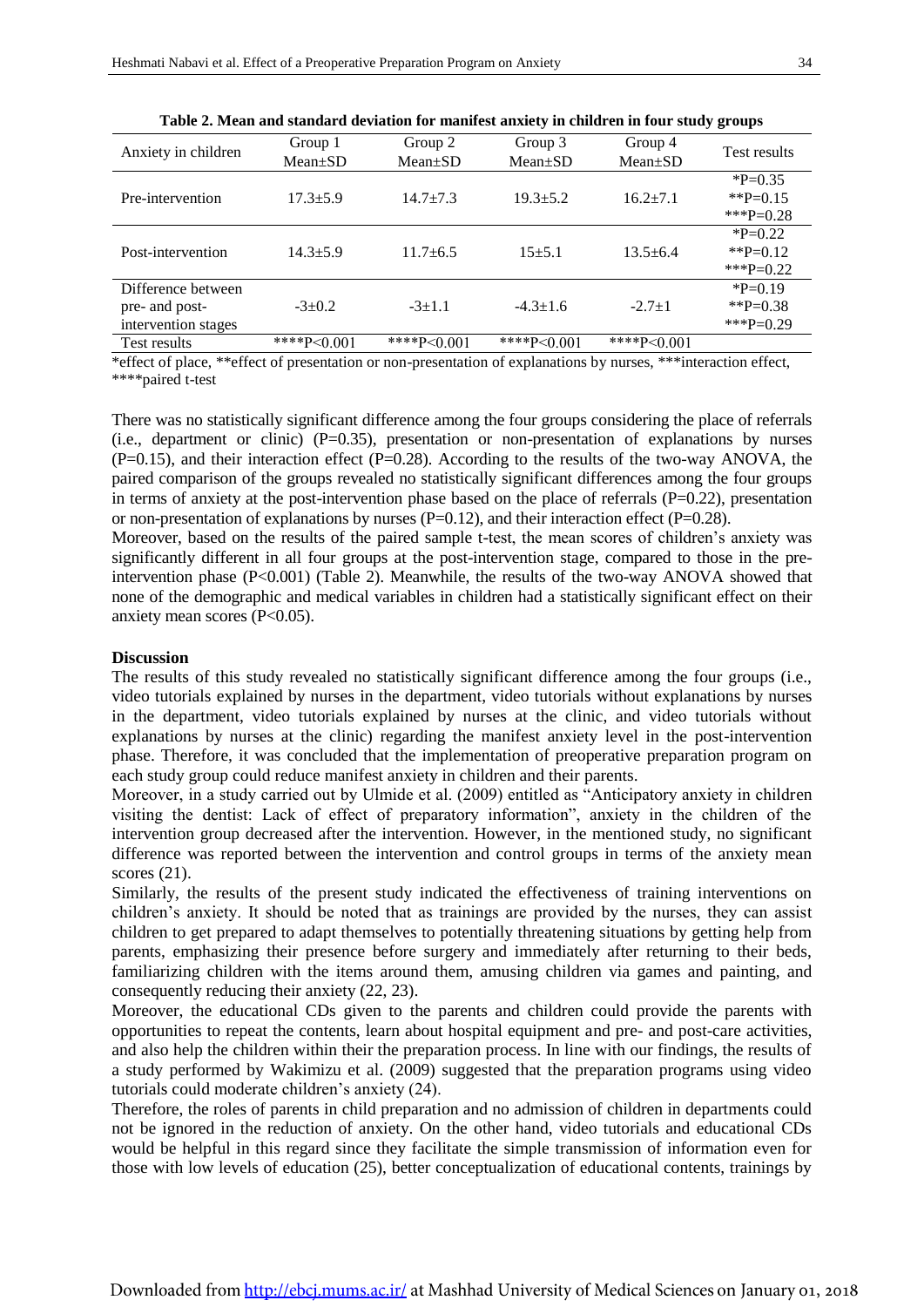| Anxiety in children | Group 1        | Group 2        | Group 3        | Group 4        | <b>Test results</b> |  |
|---------------------|----------------|----------------|----------------|----------------|---------------------|--|
|                     | $Mean \pm SD$  | $Mean \pm SD$  | $Mean \pm SD$  | $Mean \pm SD$  |                     |  |
|                     |                |                |                |                | $P=0.35$            |  |
| Pre-intervention    | $17.3 \pm 5.9$ | $14.7 \pm 7.3$ | $19.3 \pm 5.2$ | $16.2 \pm 7.1$ | ** $P=0.15$         |  |
|                     |                |                |                |                | ***P=0.28           |  |
|                     | $14.3 \pm 5.9$ | $11.7 \pm 6.5$ | $15 + 5.1$     | $13.5 \pm 6.4$ | $P=0.22$            |  |
| Post-intervention   |                |                |                |                | ** $P=0.12$         |  |
|                     |                |                |                |                | ***P=0.22           |  |
| Difference between  |                |                |                |                | $*P=0.19$           |  |
| pre- and post-      | $-3+0.2$       | $-3+1.1$       | $-4.3 \pm 1.6$ | $-2.7+1$       | **P=0.38            |  |
| intervention stages |                |                |                |                | ***P=0.29           |  |
| Test results        | ****P< $0.001$ | ****P<0.001    | ****P< $0.001$ | ****P<0.001    |                     |  |

**Table 2. Mean and standard deviation for manifest anxiety in children in four study groups**

\*effect of place, \*\*effect of presentation or non-presentation of explanations by nurses, \*\*\*interaction effect, \*\*\*\*paired t-test

There was no statistically significant difference among the four groups considering the place of referrals (i.e., department or clinic)  $(P=0.35)$ , presentation or non-presentation of explanations by nurses  $(P=0.15)$ , and their interaction effect  $(P=0.28)$ . According to the results of the two-way ANOVA, the paired comparison of the groups revealed no statistically significant differences among the four groups in terms of anxiety at the post-intervention phase based on the place of referrals  $(P=0.22)$ , presentation or non-presentation of explanations by nurses  $(P=0.12)$ , and their interaction effect  $(P=0.28)$ .

Moreover, based on the results of the paired sample t-test, the mean scores of children's anxiety was significantly different in all four groups at the post-intervention stage, compared to those in the preintervention phase (P<0.001) (Table 2). Meanwhile, the results of the two-way ANOVA showed that none of the demographic and medical variables in children had a statistically significant effect on their anxiety mean scores (P<0.05).

#### **Discussion**

The results of this study revealed no statistically significant difference among the four groups (i.e., video tutorials explained by nurses in the department, video tutorials without explanations by nurses in the department, video tutorials explained by nurses at the clinic, and video tutorials without explanations by nurses at the clinic) regarding the manifest anxiety level in the post-intervention phase. Therefore, it was concluded that the implementation of preoperative preparation program on each study group could reduce manifest anxiety in children and their parents.

Moreover, in a study carried out by Ulmide et al. (2009) entitled as "Anticipatory anxiety in children visiting the dentist: Lack of effect of preparatory information", anxiety in the children of the intervention group decreased after the intervention. However, in the mentioned study, no significant difference was reported between the intervention and control groups in terms of the anxiety mean scores (21).

Similarly, the results of the present study indicated the effectiveness of training interventions on children's anxiety. It should be noted that as trainings are provided by the nurses, they can assist children to get prepared to adapt themselves to potentially threatening situations by getting help from parents, emphasizing their presence before surgery and immediately after returning to their beds, familiarizing children with the items around them, amusing children via games and painting, and consequently reducing their anxiety (22, 23).

Moreover, the educational CDs given to the parents and children could provide the parents with opportunities to repeat the contents, learn about hospital equipment and pre- and post-care activities, and also help the children within their the preparation process. In line with our findings, the results of a study performed by Wakimizu et al. (2009) suggested that the preparation programs using video tutorials could moderate children's anxiety (24).

Therefore, the roles of parents in child preparation and no admission of children in departments could not be ignored in the reduction of anxiety. On the other hand, video tutorials and educational CDs would be helpful in this regard since they facilitate the simple transmission of information even for those with low levels of education (25), better conceptualization of educational contents, trainings by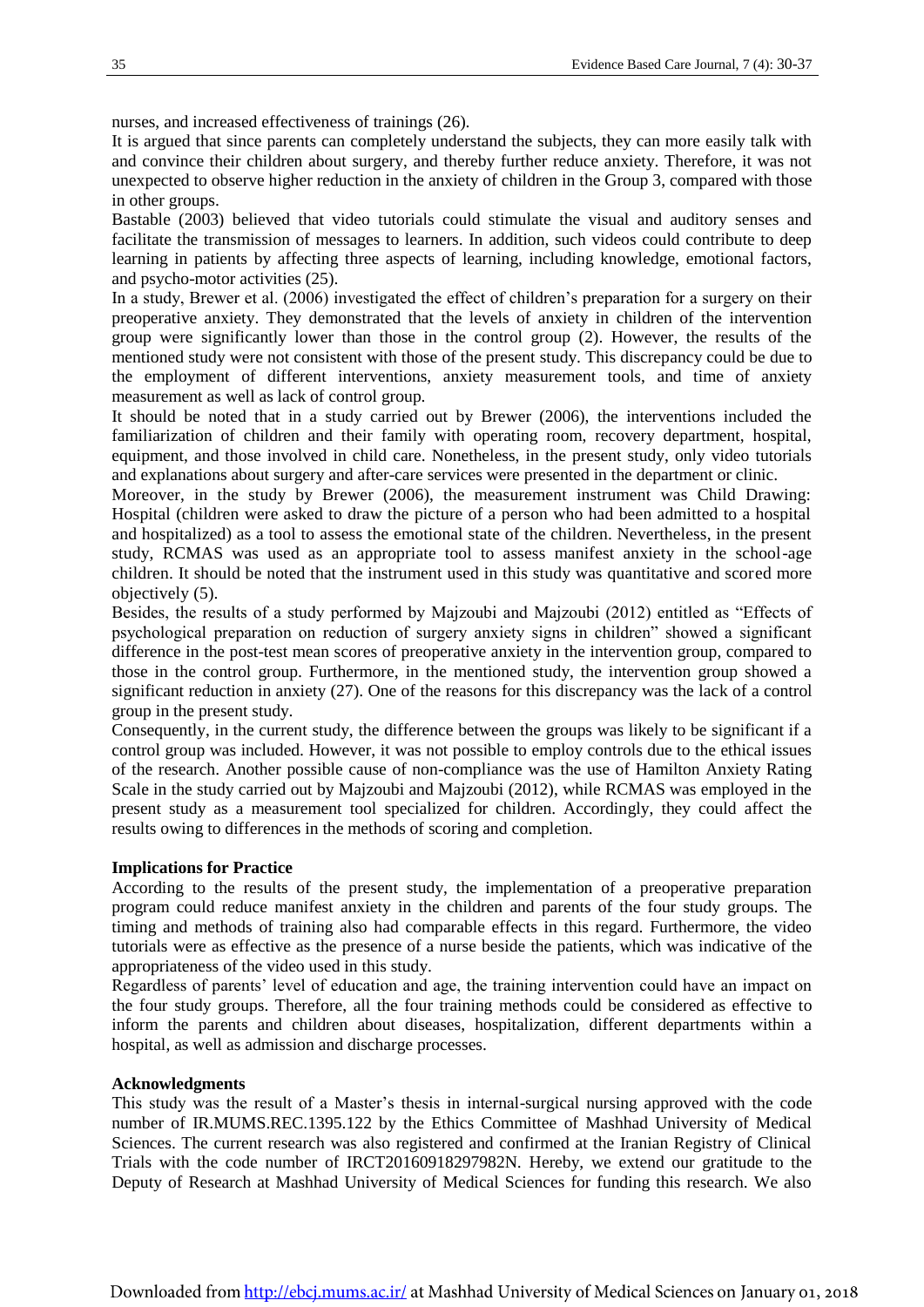nurses, and increased effectiveness of trainings (26).

It is argued that since parents can completely understand the subjects, they can more easily talk with and convince their children about surgery, and thereby further reduce anxiety. Therefore, it was not unexpected to observe higher reduction in the anxiety of children in the Group 3, compared with those in other groups.

Bastable (2003) believed that video tutorials could stimulate the visual and auditory senses and facilitate the transmission of messages to learners. In addition, such videos could contribute to deep learning in patients by affecting three aspects of learning, including knowledge, emotional factors, and psycho-motor activities (25).

In a study, Brewer et al. (2006) investigated the effect of children's preparation for a surgery on their preoperative anxiety. They demonstrated that the levels of anxiety in children of the intervention group were significantly lower than those in the control group (2). However, the results of the mentioned study were not consistent with those of the present study. This discrepancy could be due to the employment of different interventions, anxiety measurement tools, and time of anxiety measurement as well as lack of control group.

It should be noted that in a study carried out by Brewer (2006), the interventions included the familiarization of children and their family with operating room, recovery department, hospital, equipment, and those involved in child care. Nonetheless, in the present study, only video tutorials and explanations about surgery and after-care services were presented in the department or clinic.

Moreover, in the study by Brewer (2006), the measurement instrument was Child Drawing: Hospital (children were asked to draw the picture of a person who had been admitted to a hospital and hospitalized) as a tool to assess the emotional state of the children. Nevertheless, in the present study, RCMAS was used as an appropriate tool to assess manifest anxiety in the school-age children. It should be noted that the instrument used in this study was quantitative and scored more objectively (5).

Besides, the results of a study performed by Majzoubi and Majzoubi (2012) entitled as "Effects of psychological preparation on reduction of surgery anxiety signs in children" showed a significant difference in the post-test mean scores of preoperative anxiety in the intervention group, compared to those in the control group. Furthermore, in the mentioned study, the intervention group showed a significant reduction in anxiety (27). One of the reasons for this discrepancy was the lack of a control group in the present study.

Consequently, in the current study, the difference between the groups was likely to be significant if a control group was included. However, it was not possible to employ controls due to the ethical issues of the research. Another possible cause of non-compliance was the use of Hamilton Anxiety Rating Scale in the study carried out by Majzoubi and Majzoubi (2012), while RCMAS was employed in the present study as a measurement tool specialized for children. Accordingly, they could affect the results owing to differences in the methods of scoring and completion.

#### **Implications for Practice**

According to the results of the present study, the implementation of a preoperative preparation program could reduce manifest anxiety in the children and parents of the four study groups. The timing and methods of training also had comparable effects in this regard. Furthermore, the video tutorials were as effective as the presence of a nurse beside the patients, which was indicative of the appropriateness of the video used in this study.

Regardless of parents' level of education and age, the training intervention could have an impact on the four study groups. Therefore, all the four training methods could be considered as effective to inform the parents and children about diseases, hospitalization, different departments within a hospital, as well as admission and discharge processes.

#### **Acknowledgments**

This study was the result of a Master's thesis in internal-surgical nursing approved with the code number of IR.MUMS.REC.1395.122 by the Ethics Committee of Mashhad University of Medical Sciences. The current research was also registered and confirmed at the Iranian Registry of Clinical Trials with the code number of IRCT20160918297982N. Hereby, we extend our gratitude to the Deputy of Research at Mashhad University of Medical Sciences for funding this research. We also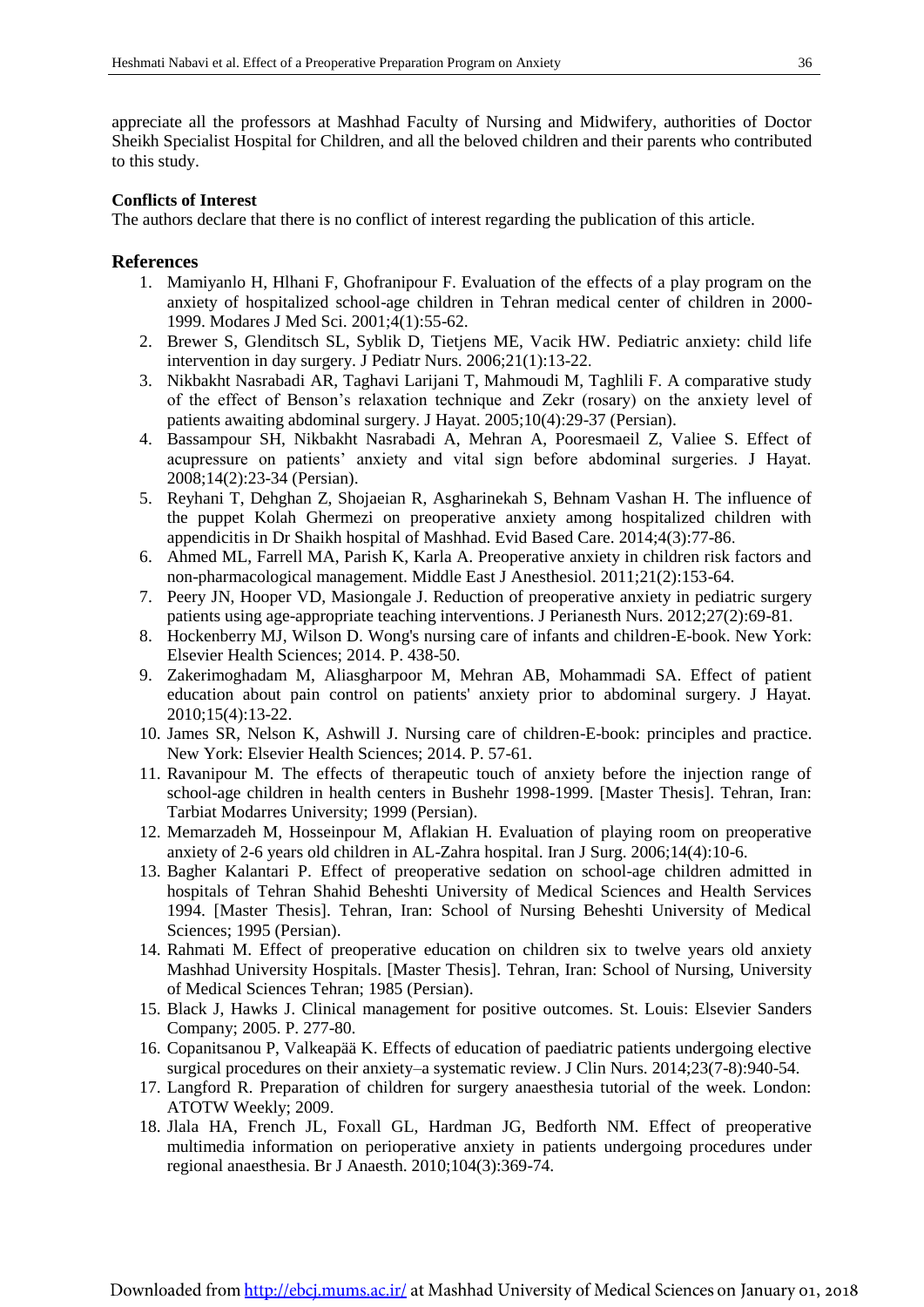appreciate all the professors at Mashhad Faculty of Nursing and Midwifery, authorities of Doctor Sheikh Specialist Hospital for Children, and all the beloved children and their parents who contributed to this study.

#### **Conflicts of Interest**

The authors declare that there is no conflict of interest regarding the publication of this article.

#### **References**

- 1. Mamiyanlo H, Hlhani F, Ghofranipour F. Evaluation of the effects of a play program on the anxiety of hospitalized school-age children in Tehran medical center of children in 2000- 1999. Modares J Med Sci. 2001;4(1):55-62.
- 2. Brewer S, Glenditsch SL, Syblik D, Tietjens ME, Vacik HW. Pediatric anxiety: child life intervention in day surgery. J Pediatr Nurs. 2006;21(1):13-22.
- 3. Nikbakht Nasrabadi AR, Taghavi Larijani T, Mahmoudi M, Taghlili F. A comparative study of the effect of Benson's relaxation technique and Zekr (rosary) on the anxiety level of patients awaiting abdominal surgery. J Hayat. 2005;10(4):29-37 (Persian).
- 4. Bassampour SH, Nikbakht Nasrabadi A, Mehran A, Pooresmaeil Z, Valiee S. Effect of acupressure on patients' anxiety and vital sign before abdominal surgeries. J Hayat. 2008;14(2):23-34 (Persian).
- 5. Reyhani T, Dehghan Z, Shojaeian R, Asgharinekah S, Behnam Vashan H. The influence of the puppet Kolah Ghermezi on preoperative anxiety among hospitalized children with appendicitis in Dr Shaikh hospital of Mashhad. Evid Based Care. 2014;4(3):77-86.
- 6. Ahmed ML, Farrell MA, Parish K, Karla A. Preoperative anxiety in children risk factors and non-pharmacological management. Middle East J Anesthesiol. 2011;21(2):153-64.
- 7. Peery JN, Hooper VD, Masiongale J. Reduction of preoperative anxiety in pediatric surgery patients using age-appropriate teaching interventions. J Perianesth Nurs. 2012;27(2):69-81.
- 8. Hockenberry MJ, Wilson D. Wong's nursing care of infants and children-E-book. New York: Elsevier Health Sciences; 2014. P. 438-50.
- 9. Zakerimoghadam M, Aliasgharpoor M, Mehran AB, Mohammadi SA. Effect of patient education about pain control on patients' anxiety prior to abdominal surgery. J Hayat. 2010;15(4):13-22.
- 10. James SR, Nelson K, Ashwill J. Nursing care of children-E-book: principles and practice. New York: Elsevier Health Sciences; 2014. P. 57-61.
- 11. Ravanipour M. The effects of therapeutic touch of anxiety before the injection range of school-age children in health centers in Bushehr 1998-1999. [Master Thesis]. Tehran, Iran: Tarbiat Modarres University; 1999 (Persian).
- 12. Memarzadeh M, Hosseinpour M, Aflakian H. Evaluation of playing room on preoperative anxiety of 2-6 years old children in AL-Zahra hospital. Iran J Surg. 2006;14(4):10-6.
- 13. Bagher Kalantari P. Effect of preoperative sedation on school-age children admitted in hospitals of Tehran Shahid Beheshti University of Medical Sciences and Health Services 1994. [Master Thesis]. Tehran, Iran: School of Nursing Beheshti University of Medical Sciences; 1995 (Persian).
- 14. Rahmati M. Effect of preoperative education on children six to twelve years old anxiety Mashhad University Hospitals. [Master Thesis]. Tehran, Iran: School of Nursing, University of Medical Sciences Tehran; 1985 (Persian).
- 15. Black J, Hawks J. Clinical management for positive outcomes. St. Louis: Elsevier Sanders Company; 2005. P. 277-80.
- 16. Copanitsanou P, Valkeapää K. Effects of education of paediatric patients undergoing elective surgical procedures on their anxiety–a systematic review. J Clin Nurs. 2014;23(7-8):940-54.
- 17. Langford R. Preparation of children for surgery anaesthesia tutorial of the week. London: ATOTW Weekly; 2009.
- 18. Jlala HA, French JL, Foxall GL, Hardman JG, Bedforth NM. Effect of preoperative multimedia information on perioperative anxiety in patients undergoing procedures under regional anaesthesia. Br J Anaesth. 2010;104(3):369-74.